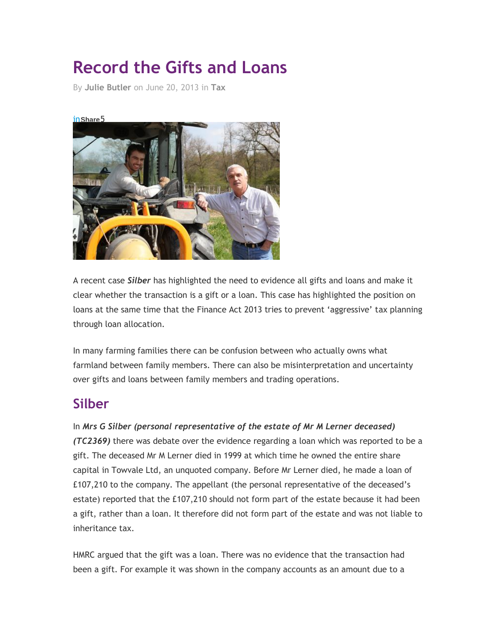## **Record the Gifts and Loans**

By **[Julie Butler](http://www.lawskills.co.uk/articles/author/julie-butler/)** on June 20, 2013 in **[Tax](http://www.lawskills.co.uk/articles/category/tax/)**

## in**[Share](http://www.lawskills.co.uk/wp-content/uploads/Fotolia_23417855_XS.jpg)**5



A recent case *Silber* has highlighted the need to evidence all gifts and loans and make it clear whether the transaction is a gift or a loan. This case has highlighted the position on loans at the same time that the Finance Act 2013 tries to prevent 'aggressive' tax planning through loan allocation.

In many farming families there can be confusion between who actually owns what farmland between family members. There can also be misinterpretation and uncertainty over gifts and loans between family members and trading operations.

## **Silber**

In *Mrs G Silber (personal representative of the estate of Mr M Lerner deceased) (TC2369)* there was debate over the evidence regarding a loan which was reported to be a gift. The deceased Mr M Lerner died in 1999 at which time he owned the entire share capital in Towvale Ltd, an unquoted company. Before Mr Lerner died, he made a loan of £107,210 to the company. The appellant (the personal representative of the deceased's estate) reported that the £107,210 should not form part of the estate because it had been a gift, rather than a loan. It therefore did not form part of the estate and was not liable to inheritance tax.

HMRC argued that the gift was a loan. There was no evidence that the transaction had been a gift. For example it was shown in the company accounts as an amount due to a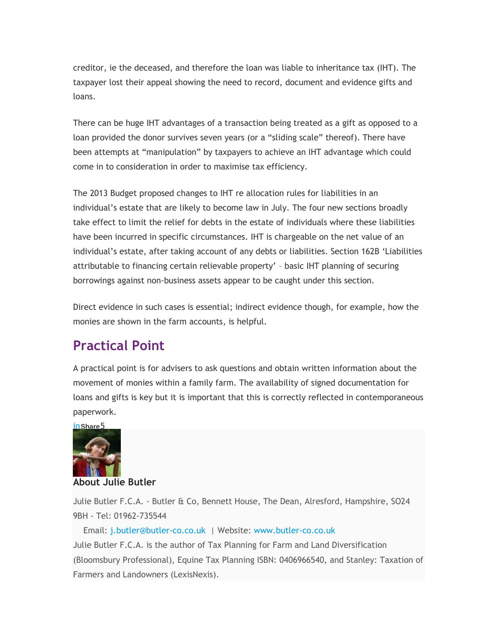creditor, ie the deceased, and therefore the loan was liable to inheritance tax (IHT). The taxpayer lost their appeal showing the need to record, document and evidence gifts and loans.

There can be huge IHT advantages of a transaction being treated as a gift as opposed to a loan provided the donor survives seven years (or a "sliding scale" thereof). There have been attempts at "manipulation" by taxpayers to achieve an IHT advantage which could come in to consideration in order to maximise tax efficiency.

The 2013 Budget proposed changes to IHT re allocation rules for liabilities in an individual's estate that are likely to become law in July. The four new sections broadly take effect to limit the relief for debts in the estate of individuals where these liabilities have been incurred in specific circumstances. IHT is chargeable on the net value of an individual's estate, after taking account of any debts or liabilities. Section 162B 'Liabilities attributable to financing certain relievable property' – basic IHT planning of securing borrowings against non-business assets appear to be caught under this section.

Direct evidence in such cases is essential; indirect evidence though, for example, how the monies are shown in the farm accounts, is helpful.

## **Practical Point**

A practical point is for advisers to ask questions and obtain written information about the movement of monies within a family farm. The availability of signed documentation for loans and gifts is key but it is important that this is correctly reflected in contemporaneous paperwork.

in**Share**5



**About Julie Butler**

Julie Butler F.C.A. - Butler & Co, Bennett House, The Dean, Alresford, Hampshire, SO24 9BH - Tel: 01962-735544

 Email: [j.butler@butler-co.co.uk](mailto:j.butler@butler-co.co.uk) | Website: [www.butler-co.co.uk](http://www.butler-co.co.uk/) Julie Butler F.C.A. is the author of Tax Planning for Farm and Land Diversification (Bloomsbury Professional), Equine Tax Planning ISBN: 0406966540, and Stanley: Taxation of Farmers and Landowners (LexisNexis).